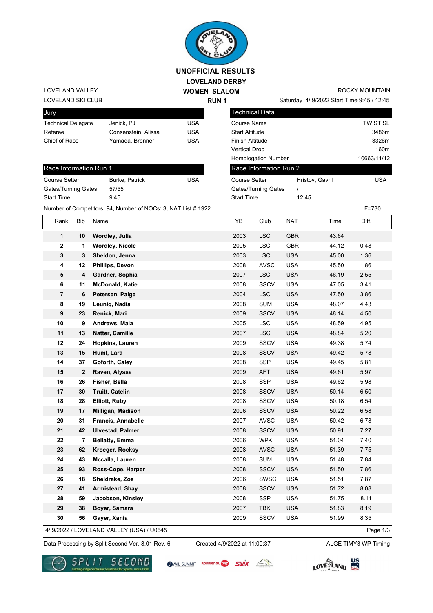

## **LOVELAND DERBY WOMEN SLALOM UNOFFICIAL RESULTS**

**RUN 1**

LOVELAND SKI CLUB LOVELAND VALLEY

| Jury                      |                     |     |
|---------------------------|---------------------|-----|
| <b>Technical Delegate</b> | Jenick, PJ          | USA |
| Referee                   | Consenstein, Alissa | USA |
| Chief of Race             | Yamada, Brenner     | USA |
|                           |                     |     |

| Race Information Run 1 |                       |     |  |  |  |  |
|------------------------|-----------------------|-----|--|--|--|--|
| Course Setter          | <b>Burke, Patrick</b> | USA |  |  |  |  |
| Gates/Turning Gates    | 57/55                 |     |  |  |  |  |
| <b>Start Time</b>      | 9.45                  |     |  |  |  |  |

ROCKY MOUNTAIN

Saturday 4/ 9/2022 Start Time 9:45 / 12:45

| <b>Technical Data</b>      |                 |                  |  |  |  |  |
|----------------------------|-----------------|------------------|--|--|--|--|
| Course Name                |                 | <b>TWIST SL</b>  |  |  |  |  |
| Start Altitude             |                 | 3486m            |  |  |  |  |
| Finish Altitude            |                 | 3326m            |  |  |  |  |
| Vertical Drop              |                 | 160 <sub>m</sub> |  |  |  |  |
| <b>Homologation Number</b> |                 | 10663/11/12      |  |  |  |  |
| Race Information Run 2     |                 |                  |  |  |  |  |
| Course Setter              | Hristov. Gavril | USA              |  |  |  |  |
| Gates/Turning Gates        |                 |                  |  |  |  |  |
| <b>Start Time</b>          | 12:45           |                  |  |  |  |  |
|                            |                 | F=730            |  |  |  |  |

| Rank | Bib          | Name                    | YB   | Club        | NAT        | Time  | Diff. |
|------|--------------|-------------------------|------|-------------|------------|-------|-------|
| 1    | 10           | Wordley, Julia          | 2003 | <b>LSC</b>  | <b>GBR</b> | 43.64 |       |
| 2    | 1            | <b>Wordley, Nicole</b>  | 2005 | <b>LSC</b>  | <b>GBR</b> | 44.12 | 0.48  |
| 3    | 3            | Sheldon, Jenna          | 2003 | <b>LSC</b>  | <b>USA</b> | 45.00 | 1.36  |
| 4    | 12           | Phillips, Devon         | 2008 | <b>AVSC</b> | <b>USA</b> | 45.50 | 1.86  |
| 5    | 4            | Gardner, Sophia         | 2007 | <b>LSC</b>  | <b>USA</b> | 46.19 | 2.55  |
| 6    | 11           | <b>McDonald, Katie</b>  | 2008 | SSCV        | <b>USA</b> | 47.05 | 3.41  |
| 7    | 6            | Petersen, Paige         | 2004 | <b>LSC</b>  | <b>USA</b> | 47.50 | 3.86  |
| 8    | 19           | Leunig, Nadia           | 2008 | <b>SUM</b>  | <b>USA</b> | 48.07 | 4.43  |
| 9    | 23           | Renick, Mari            | 2009 | <b>SSCV</b> | <b>USA</b> | 48.14 | 4.50  |
| 10   | 9            | Andrews, Maia           | 2005 | <b>LSC</b>  | <b>USA</b> | 48.59 | 4.95  |
| 11   | 13           | Natter, Camille         | 2007 | <b>LSC</b>  | <b>USA</b> | 48.84 | 5.20  |
| 12   | 24           | Hopkins, Lauren         | 2009 | <b>SSCV</b> | <b>USA</b> | 49.38 | 5.74  |
| 13   | 15           | Huml, Lara              | 2008 | <b>SSCV</b> | <b>USA</b> | 49.42 | 5.78  |
| 14   | 37           | Goforth, Caley          | 2008 | SSP         | <b>USA</b> | 49.45 | 5.81  |
| 15   | $\mathbf{2}$ | Raven, Alyssa           | 2009 | AFT         | <b>USA</b> | 49.61 | 5.97  |
| 16   | 26           | Fisher, Bella           | 2008 | SSP         | <b>USA</b> | 49.62 | 5.98  |
| 17   | 30           | <b>Truitt, Catelin</b>  | 2008 | <b>SSCV</b> | <b>USA</b> | 50.14 | 6.50  |
| 18   | 28           | Elliott, Ruby           | 2008 | <b>SSCV</b> | <b>USA</b> | 50.18 | 6.54  |
| 19   | 17           | Milligan, Madison       | 2006 | <b>SSCV</b> | <b>USA</b> | 50.22 | 6.58  |
| 20   | 31           | Francis, Annabelle      | 2007 | <b>AVSC</b> | <b>USA</b> | 50.42 | 6.78  |
| 21   | 42           | <b>Ulvestad, Palmer</b> | 2008 | <b>SSCV</b> | <b>USA</b> | 50.91 | 7.27  |
| 22   | 7            | <b>Bellatty, Emma</b>   | 2006 | <b>WPK</b>  | <b>USA</b> | 51.04 | 7.40  |
| 23   | 62           | Kroeger, Rocksy         | 2008 | AVSC        | <b>USA</b> | 51.39 | 7.75  |
| 24   | 43           | Mccalla, Lauren         | 2008 | SUM         | <b>USA</b> | 51.48 | 7.84  |
| 25   | 93           | Ross-Cope, Harper       | 2008 | <b>SSCV</b> | <b>USA</b> | 51.50 | 7.86  |
| 26   | 18           | Sheldrake, Zoe          | 2006 | <b>SWSC</b> | <b>USA</b> | 51.51 | 7.87  |
| 27   | 41           | Armistead, Shay         | 2008 | <b>SSCV</b> | <b>USA</b> | 51.72 | 8.08  |
| 28   | 59           | Jacobson, Kinsley       | 2008 | SSP         | <b>USA</b> | 51.75 | 8.11  |
| 29   | 38           | Boyer, Samara           | 2007 | <b>TBK</b>  | <b>USA</b> | 51.83 | 8.19  |
| 30   | 56           | Gayer, Xania            | 2009 | <b>SSCV</b> | <b>USA</b> | 51.99 | 8.35  |

Data Processing by Split Second Ver. 8.01 Rev. 6 Created 4/9/2022 at 11:00:37 ALGE TIMY3 WP Timing Created 4/9/2022 at 11:00:37

SVAIL-SUMMIT ROSSIGNOL R SWIX



LOVE TAND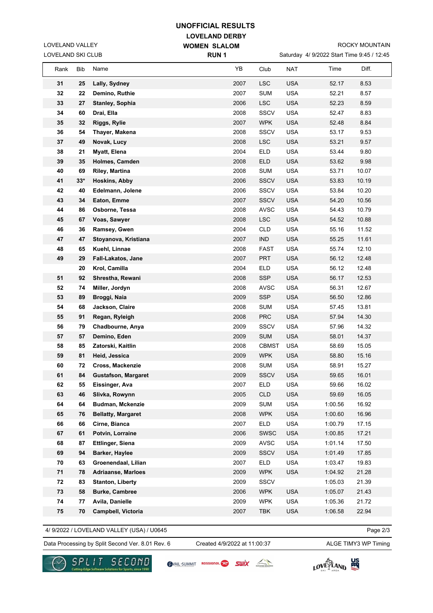## **LOVELAND DERBY UNOFFICIAL RESULTS**

**WOMEN SLALOM** 

LOVELAND SKI CLUB LOVELAND VALLEY

Saturday 4/ 9/2022 Start Time 9:45 / 12:45

| LOVELAND SKI CLUB |       | <b>RUN1</b>               |      | Saturday 4/ 9/2022 Start Time 9:45 / 12:45 |            |         |       |
|-------------------|-------|---------------------------|------|--------------------------------------------|------------|---------|-------|
| Rank              | Bib   | Name                      | YΒ   | Club                                       | <b>NAT</b> | Time    | Diff. |
| 31                | 25    | Lally, Sydney             | 2007 | LSC                                        | <b>USA</b> | 52.17   | 8.53  |
| 32                | 22    | Demino, Ruthie            | 2007 | <b>SUM</b>                                 | <b>USA</b> | 52.21   | 8.57  |
| 33                | 27    | <b>Stanley, Sophia</b>    | 2006 | <b>LSC</b>                                 | <b>USA</b> | 52.23   | 8.59  |
| 34                | 60    | Drai, Ella                | 2008 | <b>SSCV</b>                                | <b>USA</b> | 52.47   | 8.83  |
| 35                | 32    | Riggs, Rylie              | 2007 | <b>WPK</b>                                 | <b>USA</b> | 52.48   | 8.84  |
| 36                | 54    | Thayer, Makena            | 2008 | <b>SSCV</b>                                | <b>USA</b> | 53.17   | 9.53  |
| 37                | 49    | Novak, Lucy               | 2008 | <b>LSC</b>                                 | <b>USA</b> | 53.21   | 9.57  |
| 38                | 21    | Myatt, Elena              | 2004 | <b>ELD</b>                                 | <b>USA</b> | 53.44   | 9.80  |
| 39                | 35    | Holmes, Camden            | 2008 | ELD                                        | <b>USA</b> | 53.62   | 9.98  |
| 40                | 69    | Riley, Martina            | 2008 | <b>SUM</b>                                 | <b>USA</b> | 53.71   | 10.07 |
| 41                | $33*$ | <b>Hoskins, Abby</b>      | 2006 | <b>SSCV</b>                                | <b>USA</b> | 53.83   | 10.19 |
| 42                | 40    | Edelmann, Jolene          | 2006 | <b>SSCV</b>                                | <b>USA</b> | 53.84   | 10.20 |
| 43                | 34    | Eaton, Emme               | 2007 | <b>SSCV</b>                                | <b>USA</b> | 54.20   | 10.56 |
| 44                | 86    | Osborne, Tessa            | 2008 | <b>AVSC</b>                                | <b>USA</b> | 54.43   | 10.79 |
| 45                | 67    | Voas, Sawyer              | 2008 | <b>LSC</b>                                 | <b>USA</b> | 54.52   | 10.88 |
| 46                | 36    | Ramsey, Gwen              | 2004 | <b>CLD</b>                                 | <b>USA</b> | 55.16   | 11.52 |
| 47                | 47    | Stoyanova, Kristiana      | 2007 | <b>IND</b>                                 | <b>USA</b> | 55.25   | 11.61 |
| 48                | 65    | Kuehl, Linnae             | 2008 | FAST                                       | <b>USA</b> | 55.74   | 12.10 |
| 49                | 29    | Fall-Lakatos, Jane        | 2007 | <b>PRT</b>                                 | <b>USA</b> | 56.12   | 12.48 |
|                   | 20    | Krol, Camilla             | 2004 | ELD                                        | <b>USA</b> | 56.12   | 12.48 |
| 51                | 92    | Shrestha, Rewani          | 2008 | <b>SSP</b>                                 | <b>USA</b> | 56.17   | 12.53 |
| 52                | 74    | Miller, Jordyn            | 2008 | <b>AVSC</b>                                | <b>USA</b> | 56.31   | 12.67 |
| 53                | 89    | Broggi, Naia              | 2009 | <b>SSP</b>                                 | <b>USA</b> | 56.50   | 12.86 |
| 54                | 68    | Jackson, Claire           | 2008 | <b>SUM</b>                                 | <b>USA</b> | 57.45   | 13.81 |
| 55                | 91    | Regan, Ryleigh            | 2008 | <b>PRC</b>                                 | <b>USA</b> | 57.94   | 14.30 |
| 56                | 79    | Chadbourne, Anya          | 2009 | <b>SSCV</b>                                | <b>USA</b> | 57.96   | 14.32 |
| 57                | 57    | Demino, Eden              | 2009 | <b>SUM</b>                                 | <b>USA</b> | 58.01   | 14.37 |
| 58                | 85    | Zatorski, Kaitlin         | 2008 | <b>CBMST</b>                               | <b>USA</b> | 58.69   | 15.05 |
| 59                | 81    | Heid, Jessica             | 2009 | <b>WPK</b>                                 | <b>USA</b> | 58.80   | 15.16 |
| 60                | 72    | Cross, Mackenzie          | 2008 | <b>SUM</b>                                 | <b>USA</b> | 58.91   | 15.27 |
| 61                | 84    | Gustafson, Margaret       | 2009 | <b>SSCV</b>                                | <b>USA</b> | 59.65   | 16.01 |
| 62                | 55    | Eissinger, Ava            | 2007 | ELD                                        | <b>USA</b> | 59.66   | 16.02 |
| 63                | 46    | Slivka, Rowynn            | 2005 | <b>CLD</b>                                 | <b>USA</b> | 59.69   | 16.05 |
| 64                | 64    | Budman, Mckenzie          | 2009 | <b>SUM</b>                                 | <b>USA</b> | 1:00.56 | 16.92 |
| 65                | 76    | <b>Bellatty, Margaret</b> | 2008 | <b>WPK</b>                                 | <b>USA</b> | 1:00.60 | 16.96 |
| 66                | 66    | Cirne, Bianca             | 2007 | ELD                                        | <b>USA</b> | 1:00.79 | 17.15 |
| 67                | 61    | Potvin, Lorraine          | 2006 | <b>SWSC</b>                                | <b>USA</b> | 1:00.85 | 17.21 |
| 68                | 87    | <b>Ettlinger, Siena</b>   | 2009 | AVSC                                       | <b>USA</b> | 1:01.14 | 17.50 |
| 69                | 94    | Barker, Haylee            | 2009 | <b>SSCV</b>                                | <b>USA</b> | 1:01.49 | 17.85 |
| 70                | 63    | Groenendaal, Lilian       | 2007 | <b>ELD</b>                                 | <b>USA</b> | 1:03.47 | 19.83 |
| 71                | 78    | <b>Adriaanse, Marloes</b> | 2009 | <b>WPK</b>                                 | <b>USA</b> | 1:04.92 | 21.28 |
| 72                | 83    | <b>Stanton, Liberty</b>   | 2009 | <b>SSCV</b>                                |            | 1:05.03 | 21.39 |
| 73                | 58    | <b>Burke, Cambree</b>     | 2006 | <b>WPK</b>                                 | <b>USA</b> | 1:05.07 | 21.43 |
| 74                | 77    | Avila, Danielle           | 2009 | <b>WPK</b>                                 | <b>USA</b> | 1:05.36 | 21.72 |
| 75                | 70    | Campbell, Victoria        | 2007 | <b>TBK</b>                                 | <b>USA</b> | 1:06.58 | 22.94 |

## 4/ 9/2022 / LOVELAND VALLEY (USA) / U0645

Data Processing by Split Second Ver. 8.01 Rev. 6 Created 4/9/2022 at 11:00:37 ALGE TIMY3 WP Timing

Created 4/9/2022 at 11:00:37

Page 2/3